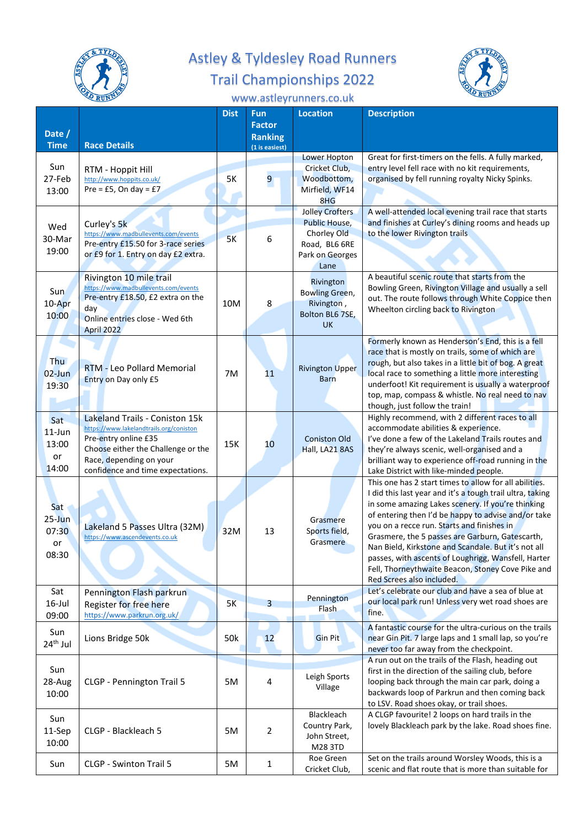

## Astley & Tyldesley Road Runners Trail Championships 2022



## www.astleyrunners.co.uk

| Date /        |                                                                           | <b>Dist</b> | <b>Fun</b><br><b>Factor</b>      | <b>Location</b>                       | <b>Description</b>                                                                                    |
|---------------|---------------------------------------------------------------------------|-------------|----------------------------------|---------------------------------------|-------------------------------------------------------------------------------------------------------|
| <b>Time</b>   | <b>Race Details</b>                                                       |             | <b>Ranking</b><br>(1 is easiest) |                                       |                                                                                                       |
|               |                                                                           |             |                                  | <b>Lower Hopton</b>                   | Great for first-timers on the fells. A fully marked,                                                  |
| Sun           | RTM - Hoppit Hill                                                         |             |                                  | Cricket Club,                         | entry level fell race with no kit requirements,                                                       |
| 27-Feb        | http://www.hoppits.co.uk/<br>Pre = £5, On day = $£7$                      | 5K          | 9                                | Woodbottom,<br>Mirfield, WF14         | organised by fell running royalty Nicky Spinks.                                                       |
| 13:00         |                                                                           |             |                                  | 8HG                                   |                                                                                                       |
|               |                                                                           |             |                                  | <b>Jolley Crofters</b>                | A well-attended local evening trail race that starts                                                  |
| Wed           | Curley's 5k                                                               |             |                                  | Public House,                         | and finishes at Curley's dining rooms and heads up                                                    |
| 30-Mar        | https://www.madbullevents.com/events                                      | 5K          | 6                                | Chorley Old                           | to the lower Rivington trails                                                                         |
| 19:00         | Pre-entry £15.50 for 3-race series<br>or £9 for 1. Entry on day £2 extra. |             |                                  | Road, BL6 6RE<br>Park on Georges      |                                                                                                       |
|               |                                                                           |             |                                  | Lane                                  |                                                                                                       |
|               | Rivington 10 mile trail                                                   |             |                                  | Rivington                             | A beautiful scenic route that starts from the                                                         |
| Sun           | https://www.madbullevents.com/events<br>Pre-entry £18.50, £2 extra on the |             |                                  | <b>Bowling Green,</b>                 | Bowling Green, Rivington Village and usually a sell                                                   |
| 10-Apr        | day                                                                       | 10M         | 8                                | Rivington,                            | out. The route follows through White Coppice then<br>Wheelton circling back to Rivington              |
| 10:00         | Online entries close - Wed 6th                                            |             |                                  | Bolton BL6 7SE,                       |                                                                                                       |
|               | April 2022                                                                |             |                                  | <b>UK</b>                             |                                                                                                       |
|               |                                                                           |             |                                  |                                       | Formerly known as Henderson's End, this is a fell<br>race that is mostly on trails, some of which are |
| Thu           |                                                                           |             |                                  |                                       | rough, but also takes in a little bit of bog. A great                                                 |
| $02$ -Jun     | <b>RTM - Leo Pollard Memorial</b>                                         | 7M          | 11                               | <b>Rivington Upper</b><br><b>Barn</b> | local race to something a little more interesting                                                     |
| 19:30         | Entry on Day only £5                                                      |             |                                  |                                       | underfoot! Kit requirement is usually a waterproof                                                    |
|               |                                                                           |             |                                  |                                       | top, map, compass & whistle. No real need to nav                                                      |
|               | Lakeland Trails - Coniston 15k                                            |             |                                  |                                       | though, just follow the train!<br>Highly recommend, with 2 different races to all                     |
| Sat<br>11-Jun | https://www.lakelandtrails.org/coniston                                   |             |                                  |                                       | accommodate abilities & experience.                                                                   |
| 13:00         | Pre-entry online £35                                                      | 15K         | 10                               | <b>Coniston Old</b>                   | I've done a few of the Lakeland Trails routes and                                                     |
| or            | Choose either the Challenge or the<br>Race, depending on your             |             |                                  | Hall, LA21 8AS                        | they're always scenic, well-organised and a                                                           |
| 14:00         | confidence and time expectations.                                         |             |                                  |                                       | brilliant way to experience off-road running in the<br>Lake District with like-minded people.         |
|               |                                                                           |             |                                  |                                       | This one has 2 start times to allow for all abilities.                                                |
|               |                                                                           |             |                                  |                                       | I did this last year and it's a tough trail ultra, taking                                             |
| Sat           |                                                                           |             |                                  |                                       | in some amazing Lakes scenery. If you're thinking                                                     |
| $25 - Jun$    | Lakeland 5 Passes Ultra (32M)                                             |             |                                  | Grasmere                              | of entering then I'd be happy to advise and/or take<br>you on a recce run. Starts and finishes in     |
| 07:30         | https://www.ascendevents.co.uk                                            | 32M         | 13                               | Sports field,                         | Grasmere, the 5 passes are Garburn, Gatescarth,                                                       |
| or            |                                                                           |             |                                  | Grasmere                              | Nan Bield, Kirkstone and Scandale. But it's not all                                                   |
| 08:30         |                                                                           |             |                                  |                                       | passes, with ascents of Loughrigg, Wansfell, Harter                                                   |
|               |                                                                           |             |                                  |                                       | Fell, Thorneythwaite Beacon, Stoney Cove Pike and<br>Red Screes also included.                        |
| Sat           | Pennington Flash parkrun                                                  |             |                                  |                                       | Let's celebrate our club and have a sea of blue at                                                    |
| $16$ -Jul     | Register for free here                                                    | 5K          | 3                                | Pennington<br><b>Flash</b>            | our local park run! Unless very wet road shoes are                                                    |
| 09:00         | https://www.parkrun.org.uk/                                               |             |                                  |                                       | fine.                                                                                                 |
| Sun           |                                                                           |             |                                  |                                       | A fantastic course for the ultra-curious on the trails                                                |
| $24th$ Jul    | Lions Bridge 50k                                                          | 50k         | 12                               | <b>Gin Pit</b>                        | near Gin Pit. 7 large laps and 1 small lap, so you're<br>never too far away from the checkpoint.      |
|               |                                                                           |             |                                  |                                       | A run out on the trails of the Flash, heading out                                                     |
| Sun           |                                                                           |             |                                  | Leigh Sports                          | first in the direction of the sailing club, before                                                    |
| 28-Aug        | CLGP - Pennington Trail 5                                                 | 5M          | 4                                | Village                               | looping back through the main car park, doing a                                                       |
| 10:00         |                                                                           |             |                                  |                                       | backwards loop of Parkrun and then coming back<br>to LSV. Road shoes okay, or trail shoes.            |
|               |                                                                           |             |                                  | Blackleach                            | A CLGP favourite! 2 loops on hard trails in the                                                       |
| Sun<br>11-Sep | CLGP - Blackleach 5                                                       | 5M          | $\overline{2}$                   | Country Park,                         | lovely Blackleach park by the lake. Road shoes fine.                                                  |
| 10:00         |                                                                           |             |                                  | John Street,                          |                                                                                                       |
|               |                                                                           |             |                                  | M28 3TD<br>Roe Green                  | Set on the trails around Worsley Woods, this is a                                                     |
| Sun           | CLGP - Swinton Trail 5                                                    | 5M          | 1                                | Cricket Club,                         | scenic and flat route that is more than suitable for                                                  |
|               |                                                                           |             |                                  |                                       |                                                                                                       |